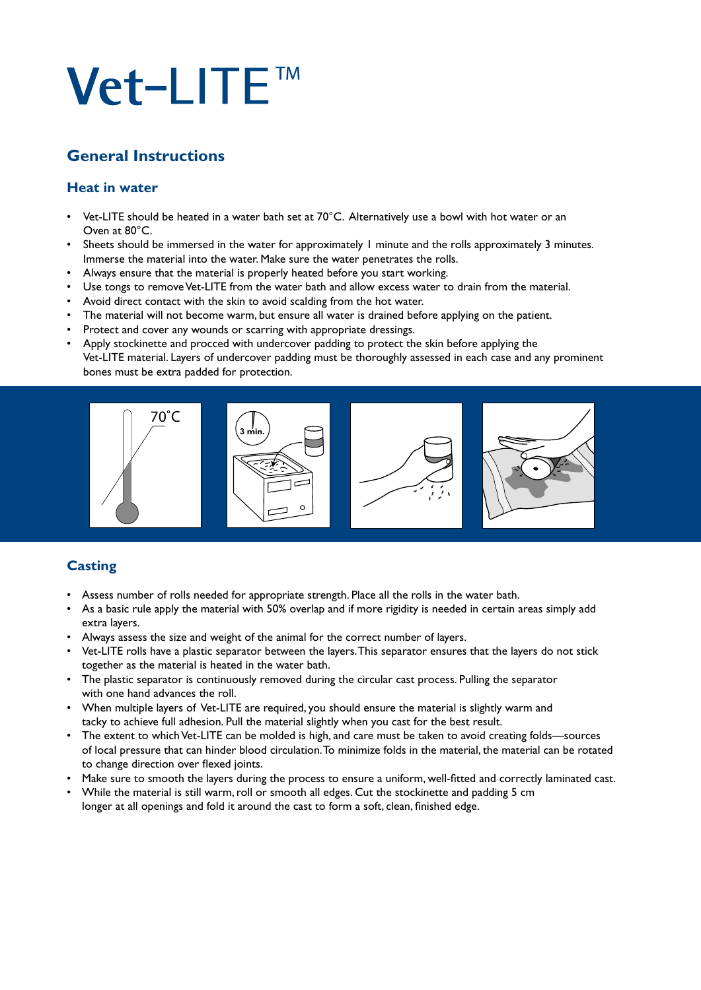# Vet-LITE™

# **General Instructions**

#### **Heat in water**

- Vet-LITE should be heated in a water bath set at 70°C. Alternatively use a bowl with hot water or an Oven at 80°C.
- Sheets should be immersed in the water for approximately 1 minute and the rolls approximately 3 minutes. Immerse the material into the water. Make sure the water penetrates the rolls.
- Always ensure that the material is properly heated before you start working.
- Use tongs to remove Vet-LITE from the water bath and allow excess water to drain from the material.
- Avoid direct contact with the skin to avoid scalding from the hot water.
- The material will not become warm, but ensure all water is drained before applying on the patient.
- Protect and cover any wounds or scarring with appropriate dressings.
- Apply stockinette and procced with undercover padding to protect the skin before applying the Vet-LITE material. Layers of undercover padding must be thoroughly assessed in each case and any prominent bones must be extra padded for protection.



## **Casting**

- Assess number of rolls needed for appropriate strength. Place all the rolls in the water bath.
- As a basic rule apply the material with 50% overlap and if more rigidity is needed in certain areas simply add extra layers.
- Always assess the size and weight of the animal for the correct number of layers.
- Vet-LITE rolls have a plastic separator between the layers. This separator ensures that the layers do not stick together as the material is heated in the water bath.
- The plastic separator is continuously removed during the circular cast process. Pulling the separator with one hand advances the roll.
- When multiple layers of Vet-LITE are required, you should ensure the material is slightly warm and tacky to achieve full adhesion. Pull the material slightly when you cast for the best result.
- The extent to which Vet-LITE can be molded is high, and care must be taken to avoid creating folds—sources of local pressure that can hinder blood circulation. To minimize folds in the material, the material can be rotated to change direction over flexed joints.
- Make sure to smooth the layers during the process to ensure a uniform, well-fitted and correctly laminated cast.
- While the material is still warm, roll or smooth all edges. Cut the stockinette and padding 5 cm longer at all openings and fold it around the cast to form a soft, clean, finished edge.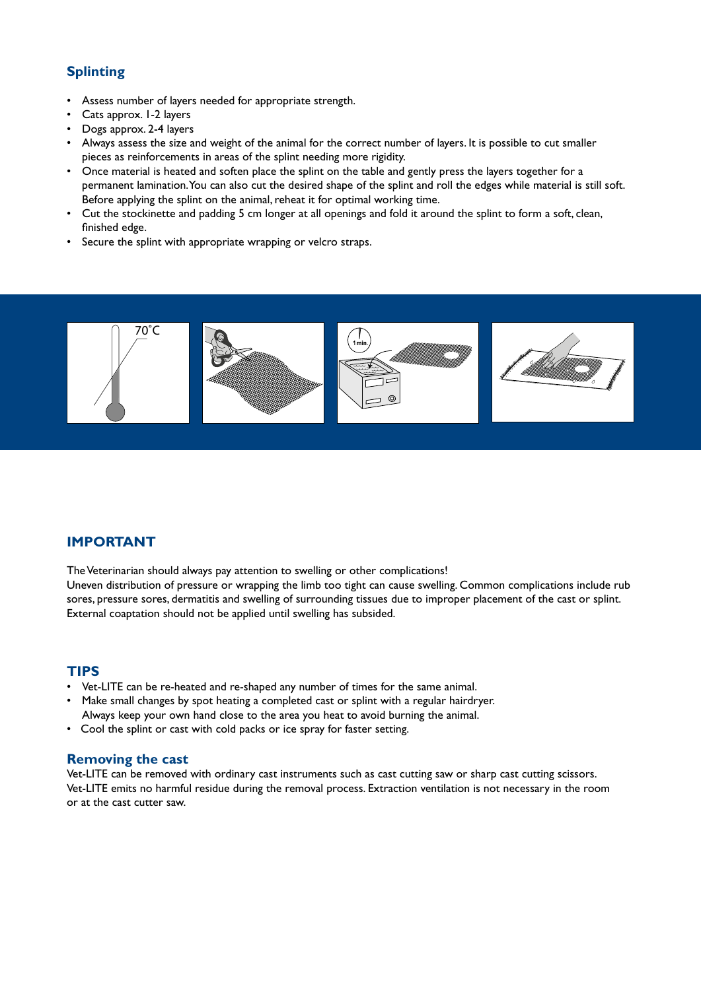## **Splinting**

- Assess number of layers needed for appropriate strength.
- Cats approx. 1-2 layers
- Dogs approx. 2-4 layers
- Always assess the size and weight of the animal for the correct number of layers. It is possible to cut smaller pieces as reinforcements in areas of the splint needing more rigidity.
- Once material is heated and soften place the splint on the table and gently press the layers together for a permanent lamination. You can also cut the desired shape of the splint and roll the edges while material is still soft. Before applying the splint on the animal, reheat it for optimal working time.
- Cut the stockinette and padding 5 cm longer at all openings and fold it around the splint to form a soft, clean, finished edge.
- Secure the splint with appropriate wrapping or velcro straps.



#### **IMPORTANT**

The Veterinarian should always pay attention to swelling or other complications!

Uneven distribution of pressure or wrapping the limb too tight can cause swelling. Common complications include rub sores, pressure sores, dermatitis and swelling of surrounding tissues due to improper placement of the cast or splint. External coaptation should not be applied until swelling has subsided.

#### **TIPS**

- Vet-LITE can be re-heated and re-shaped any number of times for the same animal.
- Make small changes by spot heating a completed cast or splint with a regular hairdryer. Always keep your own hand close to the area you heat to avoid burning the animal.
- Cool the splint or cast with cold packs or ice spray for faster setting.

#### **Removing the cast**

Vet-LITE can be removed with ordinary cast instruments such as cast cutting saw or sharp cast cutting scissors. Vet-LITE emits no harmful residue during the removal process. Extraction ventilation is not necessary in the room or at the cast cutter saw.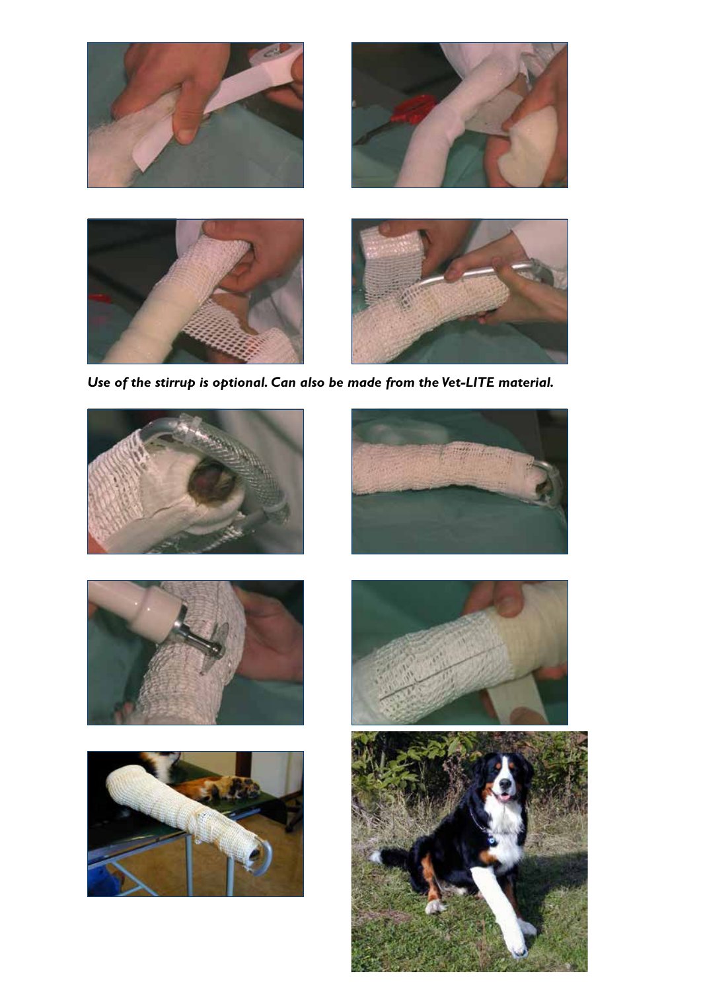

*Use of the stirrup is optional. Can also be made from the Vet-LITE material.*